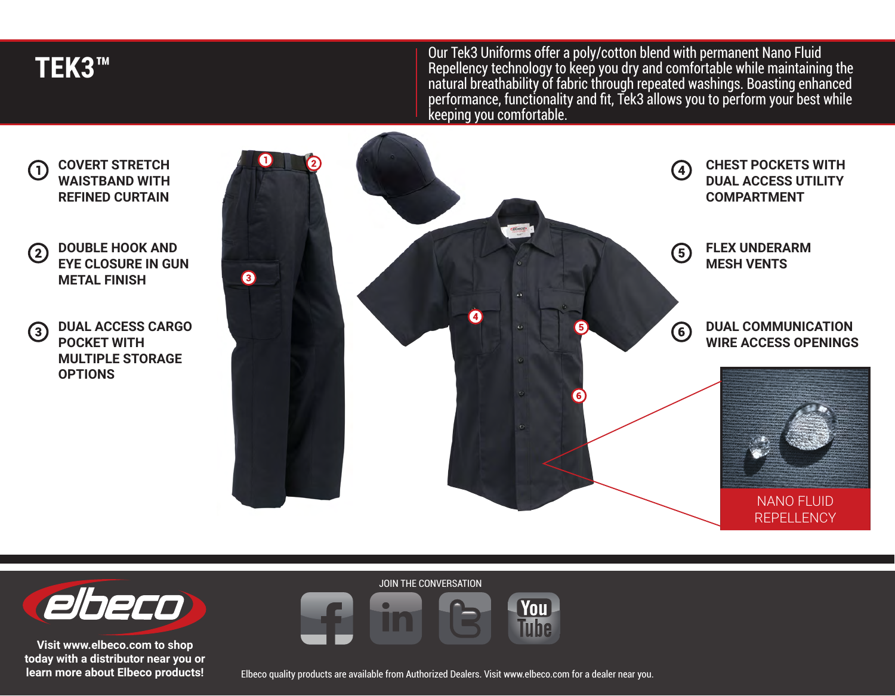**TEK3™**

Our Tek3 Uniforms offer a poly/cotton blend with permanent Nano Fluid Repellency technology to keep you dry and comfortable while maintaining the natural breathability of fabric through repeated washings. Boasting enhanced performance, functionality and fit, Tek3 allows you to perform your best while keeping you comfortable.



**DUAL ACCESS CARGO**   $\left( 3\right)$ **POCKET WITH MULTIPLE STORAGE OPTIONS**





**Visit www.elbeco.com to shop today with a distributor near you or learn more about Elbeco products!** JOIN THE CONVERSATION



Elbeco quality products are available from Authorized Dealers. Visit www.elbeco.com for a dealer near you.